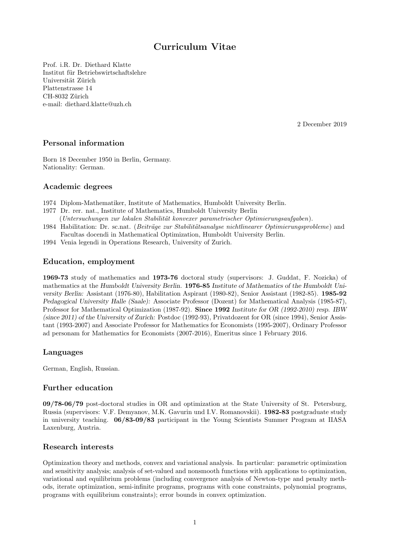# Curriculum Vitae

Prof. i.R. Dr. Diethard Klatte Institut für Betriebswirtschaftslehre Universität Zürich Plattenstrasse 14 CH-8032 Zürich e-mail: diethard.klatte@uzh.ch

2 December 2019

## Personal information

Born 18 December 1950 in Berlin, Germany. Nationality: German.

## Academic degrees

- 1974 Diplom-Mathematiker, Institute of Mathematics, Humboldt University Berlin.
- 1977 Dr. rer. nat., Institute of Mathematics, Humboldt University Berlin (Untersuchungen zur lokalen Stabilität konvexer parametrischer Optimierungsaufgaben).
- 1984 Habilitation: Dr. sc.nat. (Beiträge zur Stabilitätsanalyse nichtlinearer Optimierungsprobleme) and Facultas docendi in Mathematical Optimization, Humboldt University Berlin.
- 1994 Venia legendi in Operations Research, University of Zurich.

## Education, employment

1969-73 study of mathematics and 1973-76 doctoral study (supervisors: J. Guddat, F. Nozicka) of mathematics at the Humboldt University Berlin. 1976-85 Institute of Mathematics of the Humboldt University Berlin: Assistant (1976-80), Habilitation Aspirant (1980-82), Senior Assistant (1982-85). 1985-92 Pedagogical University Halle (Saale): Associate Professor (Dozent) for Mathematical Analysis (1985-87), Professor for Mathematical Optimization (1987-92). Since 1992 Institute for OR (1992-2010) resp. IBW (since 2011) of the University of Zurich: Postdoc (1992-93), Privatdozent for OR (since 1994), Senior Assistant (1993-2007) and Associate Professor for Mathematics for Economists (1995-2007), Ordinary Professor ad personam for Mathematics for Economists (2007-2016), Emeritus since 1 February 2016.

### Languages

German, English, Russian.

## Further education

09/78-06/79 post-doctoral studies in OR and optimization at the State University of St. Petersburg, Russia (supervisors: V.F. Demyanov, M.K. Gavurin und I.V. Romanovskii). 1982-83 postgraduate study in university teaching. 06/83-09/83 participant in the Young Scientists Summer Program at IIASA Laxenburg, Austria.

## Research interests

Optimization theory and methods, convex and variational analysis. In particular: parametric optimization and sensitivity analysis; analysis of set-valued and nonsmooth functions with applications to optimization, variational and equilibrium problems (including convergence analysis of Newton-type and penalty methods, iterate optimization, semi-infinite programs, programs with cone constraints, polynomial programs, programs with equilibrium constraints); error bounds in convex optimization.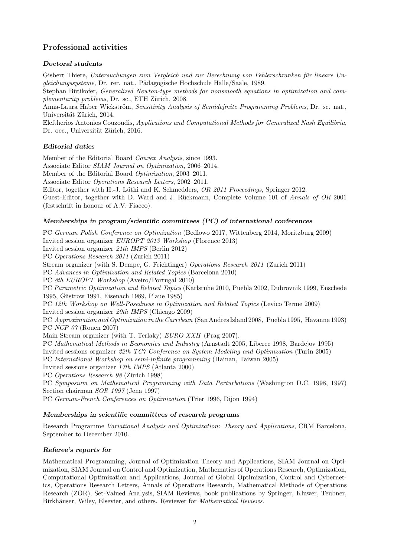## Professional activities

## Doctoral students

Gisbert Thiere, Untersuchungen zum Vergleich und zur Berechnung von Fehlerschranken für lineare Ungleichungssysteme, Dr. rer. nat., Pädagogische Hochschule Halle/Saale, 1989.

Stephan Bütikofer, *Generalized Newton-type methods for nonsmooth equations in optimization and com*plementarity problems, Dr. sc., ETH Zürich, 2008.

Anna-Laura Haber Wickström, Sensitivity Analysis of Semidefinite Programming Problems, Dr. sc. nat., Universität Zürich, 2014.

Eleftherios Antonios Couzoudis, Applications and Computational Methods for Generalized Nash Equilibria, Dr. oec., Universität Zürich, 2016.

## Editorial duties

Member of the Editorial Board Convex Analysis, since 1993. Associate Editor SIAM Journal on Optimization, 2006–2014. Member of the Editorial Board Optimization, 2003–2011. Associate Editor Operations Research Letters, 2002–2011. Editor, together with H.-J. Lüthi and K. Schmedders, OR 2011 Proceedings, Springer 2012. Guest-Editor, together with D. Ward and J. Rückmann, Complete Volume 101 of Annals of OR 2001 (festschrift in honour of A.V. Fiacco).

## Memberships in program/scientific committees (PC) of international conferences

PC German Polish Conference on Optimization (Bedlowo 2017, Wittenberg 2014, Moritzburg 2009) Invited session organizer EUROPT 2013 Workshop (Florence 2013) Invited session organizer 21th IMPS (Berlin 2012) PC Operations Research 2011 (Zurich 2011) Stream organizer (with S. Dempe, G. Feichtinger) Operations Research 2011 (Zurich 2011) PC Advances in Optimization and Related Topics (Barcelona 2010) PC 8th EUROPT Workshop (Aveiro/Portugal 2010) PC Parametric Optimization and Related Topics (Karlsruhe 2010, Puebla 2002, Dubrovnik 1999, Enschede 1995, Güstrow 1991, Eisenach 1989, Plaue 1985) PC 12th Workshop on Well-Posedness in Optimization and Related Topics (Levico Terme 2009) Invited session organizer 20th IMPS (Chicago 2009) PC Approximation and Optimization in the Carribean (San Andres Island 2008, Puebla 1995, Havanna 1993) PC NCP 07 (Rouen 2007) Main Stream organizer (with T. Terlaky) EURO XXII (Prag 2007). PC Mathematical Methods in Economics and Industry (Arnstadt 2005, Liberec 1998, Bardejov 1995) Invited sessions organizer 22th TC7 Conference on System Modeling and Optimization (Turin 2005) PC International Workshop on semi-infinite programming (Hainan, Taiwan 2005) Invited sessions organizer 17th IMPS (Atlanta 2000) PC Operations Research 98 (Zürich 1998) PC Symposium on Mathematical Programming with Data Perturbations (Washington D.C. 1998, 1997) Section chairman SOR 1997 (Jena 1997)

PC German-French Conferences on Optimization (Trier 1996, Dijon 1994)

### Memberships in scientific committees of research programs

Research Programme Variational Analysis and Optimization: Theory and Applications, CRM Barcelona, September to December 2010.

### Referee's reports for

Mathematical Programming, Journal of Optimization Theory and Applications, SIAM Journal on Optimization, SIAM Journal on Control and Optimization, Mathematics of Operations Research, Optimization, Computational Optimization and Applications, Journal of Global Optimization, Control and Cybernetics, Operations Research Letters, Annals of Operations Research, Mathematical Methods of Operations Research (ZOR), Set-Valued Analysis, SIAM Reviews, book publications by Springer, Kluwer, Teubner, Birkhäuser, Wiley, Elsevier, and others. Reviewer for *Mathematical Reviews*.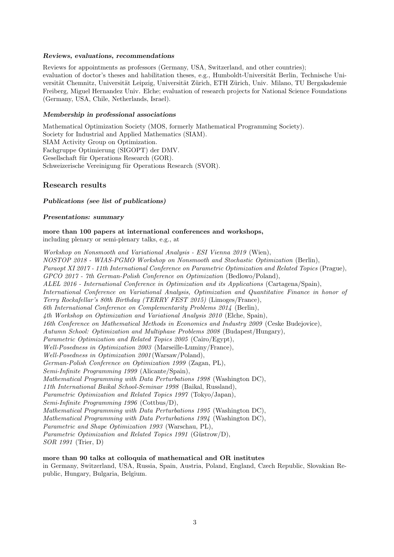#### Reviews, evaluations, recommendations

Reviews for appointments as professors (Germany, USA, Switzerland, and other countries); evaluation of doctor's theses and habilitation theses, e.g., Humboldt-Universität Berlin, Technische Universität Chemnitz, Universität Leipzig, Universität Zürich, ETH Zürich, Univ. Milano, TU Bergakademie Freiberg, Miguel Hernandez Univ. Elche; evaluation of research projects for National Science Foundations (Germany, USA, Chile, Netherlands, Israel).

#### Membership in professional associations

Mathematical Optimization Society (MOS, formerly Mathematical Programming Society). Society for Industrial and Applied Mathematics (SIAM). SIAM Activity Group on Optimization. Fachgruppe Optimierung (SIGOPT) der DMV. Gesellschaft für Operations Research (GOR). Schweizerische Vereinigung für Operations Research (SVOR).

## Research results

#### Publications (see list of publications)

#### Presentations: summary

more than 100 papers at international conferences and workshops, including plenary or semi-plenary talks, e.g., at

Workshop on Nonsmooth and Variational Analysis - ESI Vienna 2019 (Wien), NOSTOP 2018 - WIAS-PGMO Workshop on Nonsmooth and Stochastic Optimization (Berlin), Paraopt XI 2017 - 11th International Conference on Parametric Optimization and Related Topics (Prague), GPCO 2017 - 7th German-Polish Conference on Optimization (Bedlowo/Poland), ALEL 2016 - International Conference in Optimization and its Applications (Cartagena/Spain), International Conference on Variational Analysis, Optimization and Quantitative Finance in honor of Terry Rockafellar's 80th Birthday (TERRY FEST 2015) (Limoges/France), 6th International Conference on Complementarity Problems 2014 (Berlin), 4th Workshop on Optimization and Variational Analysis 2010 (Elche, Spain), 16th Conference on Mathematical Methods in Economics and Industry 2009 (Ceske Budejovice), Autumn School: Optimization and Multiphase Problems 2008 (Budapest/Hungary), Parametric Optimization and Related Topics 2005 (Cairo/Egypt), Well-Posedness in Optimization 2003 (Marseille-Luminy/France), Well-Posedness in Optimization 2001 (Warsaw/Poland), German-Polish Conference on Optimization 1999 (Zagan, PL), Semi-Infinite Programming 1999 (Alicante/Spain), Mathematical Programming with Data Perturbations 1998 (Washington DC), 11th International Baikal School-Seminar 1998 (Baikal, Russland), Parametric Optimization and Related Topics 1997 (Tokyo/Japan), Semi-Infinite Programming 1996 (Cottbus/D), Mathematical Programming with Data Perturbations 1995 (Washington DC), Mathematical Programming with Data Perturbations 1994 (Washington DC), Parametric and Shape Optimization 1993 (Warschau, PL), Parametric Optimization and Related Topics 1991 (Güstrow/D), SOR 1991 (Trier, D)

#### more than 90 talks at colloquia of mathematical and OR institutes

in Germany, Switzerland, USA, Russia, Spain, Austria, Poland, England, Czech Republic, Slovakian Republic, Hungary, Bulgaria, Belgium.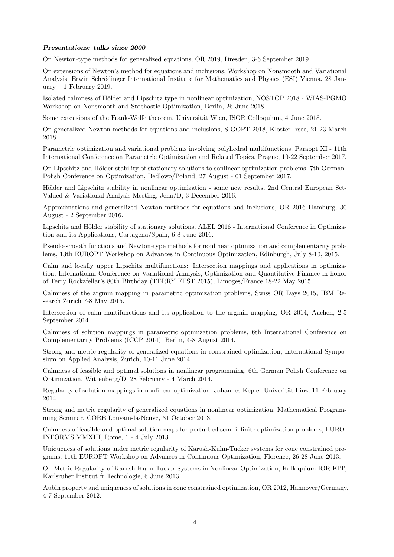#### Presentations: talks since 2000

On Newton-type methods for generalized equations, OR 2019, Dresden, 3-6 September 2019.

On extensions of Newton's method for equations and inclusions, Workshop on Nonsmooth and Variational Analysis, Erwin Schrödinger International Institute for Mathematics and Physics (ESI) Vienna, 28 January  $-1$  February 2019.

Isolated calmness of Hölder and Lipschitz type in nonlinear optimization, NOSTOP 2018 - WIAS-PGMO Workshop on Nonsmooth and Stochastic Optimization, Berlin, 26 June 2018.

Some extensions of the Frank-Wolfe theorem, Universität Wien, ISOR Colloquium, 4 June 2018.

On generalized Newton methods for equations and inclusions, SIGOPT 2018, Kloster Irsee, 21-23 March 2018.

Parametric optimization and variational problems involving polyhedral multifunctions, Paraopt XI - 11th International Conference on Parametric Optimization and Related Topics, Prague, 19-22 September 2017.

On Lipschitz and Hölder stability of stationary solutions to sonlinear optimization problems, 7th German-Polish Conference on Optimization, Bedlowo/Poland, 27 August - 01 September 2017.

Hölder and Lipschitz stability in nonlinear optimization - some new results, 2nd Central European Set-Valued & Variational Analysis Meeting, Jena/D, 3 December 2016.

Approximations and generalized Newton methods for equations and inclusions, OR 2016 Hamburg, 30 August - 2 September 2016.

Lipschitz and Hölder stability of stationary solutions, ALEL 2016 - International Conference in Optimization and its Applications, Cartagena/Spain, 6-8 June 2016.

Pseudo-smooth functions and Newton-type methods for nonlinear optimization and complementarity problems, 13th EUROPT Workshop on Advances in Continuous Optimization, Edinburgh, July 8-10, 2015.

Calm and locally upper Lipschitz multifunctions: Intersection mappings and applications in optimization, International Conference on Variational Analysis, Optimization and Quantitative Finance in honor of Terry Rockafellar's 80th Birthday (TERRY FEST 2015), Limoges/France 18-22 May 2015.

Calmness of the argmin mapping in parametric optimization problems, Swiss OR Days 2015, IBM Research Zurich 7-8 May 2015.

Intersection of calm multifunctions and its application to the argmin mapping, OR 2014, Aachen, 2-5 September 2014.

Calmness of solution mappings in parametric optimization problems, 6th International Conference on Complementarity Problems (ICCP 2014), Berlin, 4-8 August 2014.

Strong and metric regularity of generalized equations in constrained optimization, International Symposium on Applied Analysis, Zurich, 10-11 June 2014.

Calmness of feasible and optimal solutions in nonlinear programming, 6th German Polish Conference on Optimization, Wittenberg/D, 28 February - 4 March 2014.

Regularity of solution mappings in nonlinear optimization, Johannes-Kepler-Univerität Linz, 11 February 2014.

Strong and metric regularity of generalized equations in nonlinear optimization, Mathematical Programming Seminar, CORE Louvain-la-Neuve, 31 October 2013.

Calmness of feasible and optimal solution maps for perturbed semi-infinite optimization problems, EURO-INFORMS MMXIII, Rome, 1 - 4 July 2013.

Uniqueness of solutions under metric regularity of Karush-Kuhn-Tucker systems for cone constrained programs, 11th EUROPT Workshop on Advances in Continuous Optimization, Florence, 26-28 June 2013.

On Metric Regularity of Karush-Kuhn-Tucker Systems in Nonlinear Optimization, Kolloquium IOR-KIT, Karlsruher Institut fr Technologie, 6 June 2013.

Aubin property and uniqueness of solutions in cone constrained optimization, OR 2012, Hannover/Germany, 4-7 September 2012.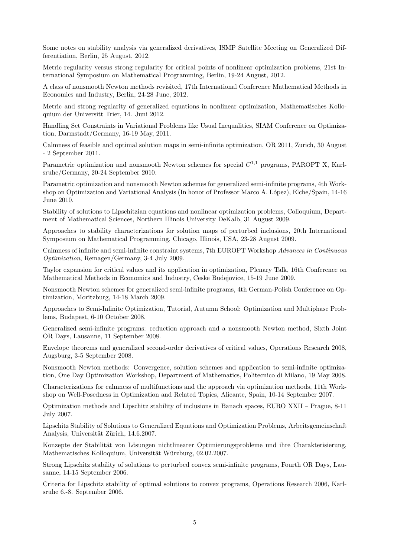Some notes on stability analysis via generalized derivatives, ISMP Satellite Meeting on Generalized Differentiation, Berlin, 25 August, 2012.

Metric regularity versus strong regularity for critical points of nonlinear optimization problems, 21st International Symposium on Mathematical Programming, Berlin, 19-24 August, 2012.

A class of nonsmooth Newton methods revisited, 17th International Conference Mathematical Methods in Economics and Industry, Berlin, 24-28 June, 2012.

Metric and strong regularity of generalized equations in nonlinear optimization, Mathematisches Kolloquium der Universitt Trier, 14. Juni 2012.

Handling Set Constraints in Variational Problems like Usual Inequalities, SIAM Conference on Optimization, Darmstadt/Germany, 16-19 May, 2011.

Calmness of feasible and optimal solution maps in semi-infinite optimization, OR 2011, Zurich, 30 August - 2 September 2011.

Parametric optimization and nonsmooth Newton schemes for special  $C^{1,1}$  programs, PAROPT X, Karlsruhe/Germany, 20-24 September 2010.

Parametric optimization and nonsmooth Newton schemes for generalized semi-infinite programs, 4th Workshop on Optimization and Variational Analysis (In honor of Professor Marco A. López), Elche/Spain, 14-16 June 2010.

Stability of solutions to Lipschitzian equations and nonlinear optimization problems, Colloquium, Department of Mathematical Sciences, Northern Illinois University DeKalb, 31 August 2009.

Approaches to stability characterizations for solution maps of perturbed inclusions, 20th International Symposium on Mathematical Programming, Chicago, Illinois, USA, 23-28 August 2009.

Calmness of infinite and semi-infinite constraint systems, 7th EUROPT Workshop Advances in Continuous Optimization, Remagen/Germany, 3-4 July 2009.

Taylor expansion for critical values and its application in optimization, Plenary Talk, 16th Conference on Mathematical Methods in Economics and Industry, Ceske Budejovice, 15-19 June 2009.

Nonsmooth Newton schemes for generalized semi-infinite programs, 4th German-Polish Conference on Optimization, Moritzburg, 14-18 March 2009.

Approaches to Semi-Infinite Optimization, Tutorial, Autumn School: Optimization and Multiphase Problems, Budapest, 6-10 October 2008.

Generalized semi-infinite programs: reduction approach and a nonsmooth Newton method, Sixth Joint OR Days, Lausanne, 11 September 2008.

Envelope theorems and generalized second-order derivatives of critical values, Operations Research 2008, Augsburg, 3-5 September 2008.

Nonsmooth Newton methods: Convergence, solution schemes and application to semi-infinite optimization, One Day Optimization Workshop, Department of Mathematics, Politecnico di Milano, 19 May 2008.

Characterizations for calmness of multifunctions and the approach via optimization methods, 11th Workshop on Well-Posedness in Optimization and Related Topics, Alicante, Spain, 10-14 September 2007.

Optimization methods and Lipschitz stability of inclusions in Banach spaces, EURO XXII – Prague, 8-11 July 2007.

Lipschitz Stability of Solutions to Generalized Equations and Optimization Problems, Arbeitsgemeinschaft Analysis, Universität Zürich, 14.6.2007.

Konzepte der Stabilität von Lösungen nichtlinearer Optimierungsprobleme und ihre Charakterisierung, Mathematisches Kolloquium, Universität Würzburg, 02.02.2007.

Strong Lipschitz stability of solutions to perturbed convex semi-infinite programs, Fourth OR Days, Lausanne, 14-15 September 2006.

Criteria for Lipschitz stability of optimal solutions to convex programs, Operations Research 2006, Karlsruhe 6.-8. September 2006.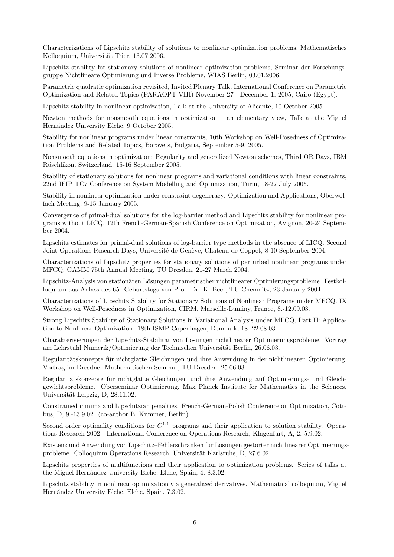Characterizations of Lipschitz stability of solutions to nonlinear optimization problems, Mathematisches Kolloquium, Universität Trier, 13.07.2006.

Lipschitz stability for stationary solutions of nonlinear optimization problems, Seminar der Forschungsgruppe Nichtlineare Optimierung und Inverse Probleme, WIAS Berlin, 03.01.2006.

Parametric quadratic optimization revisited, Invited Plenary Talk, International Conference on Parametric Optimization and Related Topics (PARAOPT VIII) November 27 - December 1, 2005, Cairo (Egypt).

Lipschitz stability in nonlinear optimization, Talk at the University of Alicante, 10 October 2005.

Newton methods for nonsmooth equations in optimization – an elementary view, Talk at the Miguel Hernández University Elche, 9 October 2005.

Stability for nonlinear programs under linear constraints, 10th Workshop on Well-Posedness of Optimization Problems and Related Topics, Borovets, Bulgaria, September 5-9, 2005.

Nonsmooth equations in optimization: Regularity and generalized Newton schemes, Third OR Days, IBM Rüschlikon, Switzerland, 15-16 September 2005.

Stability of stationary solutions for nonlinear programs and variational conditions with linear constraints, 22nd IFIP TC7 Conference on System Modelling and Optimization, Turin, 18-22 July 2005.

Stability in nonlinear optimization under constraint degeneracy. Optimization and Applications, Oberwolfach Meeting, 9-15 January 2005.

Convergence of primal-dual solutions for the log-barrier method and Lipschitz stability for nonlinear programs without LICQ. 12th French-German-Spanish Conference on Optimization, Avignon, 20-24 September 2004.

Lipschitz estimates for primal-dual solutions of log-barrier type methods in the absence of LICQ. Second Joint Operations Research Days, Université de Genève, Chateau de Coppet, 8-10 September 2004.

Characterizations of Lipschitz properties for stationary solutions of perturbed nonlinear programs under MFCQ. GAMM 75th Annual Meeting, TU Dresden, 21-27 March 2004.

Lipschitz-Analysis von stationären Lösungen parametrischer nichtlinearer Optimierungsprobleme. Festkolloquium aus Anlass des 65. Geburtstags von Prof. Dr. K. Beer, TU Chemnitz, 23 January 2004.

Characterizations of Lipschitz Stability for Stationary Solutions of Nonlinear Programs under MFCQ. IX Workshop on Well-Posedness in Optimization, CIRM, Marseille-Luminy, France, 8.-12.09.03.

Strong Lipschitz Stability of Stationary Solutions in Variational Analysis under MFCQ, Part II: Application to Nonlinear Optimization. 18th ISMP Copenhagen, Denmark, 18.-22.08.03.

Charakterisierungen der Lipschitz-Stabilität von Lösungen nichtlinearer Optimierungsprobleme. Vortrag am Lehrstuhl Numerik/Optimierung der Technischen Universität Berlin, 26.06.03.

Regularitätskonzepte für nichtglatte Gleichungen und ihre Anwendung in der nichtlinearen Optimierung. Vortrag im Dresdner Mathematischen Seminar, TU Dresden, 25.06.03.

Regularitätskonzepte für nichtglatte Gleichungen und ihre Anwendung auf Optimierungs- und Gleichgewichtsprobleme. Oberseminar Optimierung, Max Planck Institute for Mathematics in the Sciences, Universität Leipzig, D, 28.11.02.

Constrained minima and Lipschitzian penalties. French-German-Polish Conference on Optimization, Cottbus, D, 9.-13.9.02. (co-author B. Kummer, Berlin).

Second order optimality conditions for  $C^{1,1}$  programs and their application to solution stability. Operations Research 2002 - International Conference on Operations Research, Klagenfurt, A, 2.-5.9.02.

Existenz und Anwendung von Lipschitz–Fehlerschranken für Lösungen gestörter nichtlinearer Optimierungsprobleme. Colloquium Operations Research, Universität Karlsruhe, D, 27.6.02.

Lipschitz properties of multifunctions and their application to optimization problems. Series of talks at the Miguel Hernández University Elche, Elche, Spain, 4.-8.3.02.

Lipschitz stability in nonlinear optimization via generalized derivatives. Mathematical colloquium, Miguel Hernández University Elche, Elche, Spain, 7.3.02.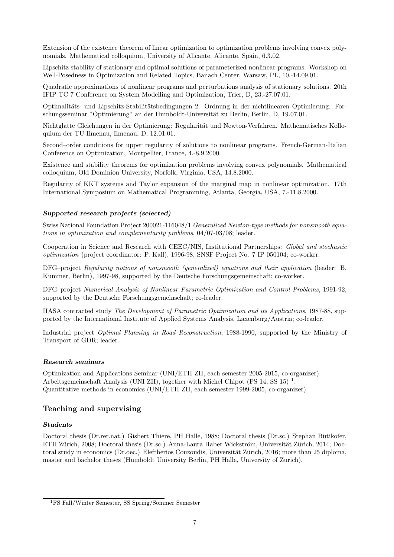Extension of the existence theorem of linear optimization to optimization problems involving convex polynomials. Mathematical colloquium, University of Alicante, Alicante, Spain, 6.3.02.

Lipschitz stability of stationary and optimal solutions of parameterized nonlinear programs. Workshop on Well-Posedness in Optimization and Related Topics, Banach Center, Warsaw, PL, 10.-14.09.01.

Quadratic approximations of nonlinear programs and perturbations analysis of stationary solutions. 20th IFIP TC 7 Conference on System Modelling and Optimization, Trier, D, 23.-27.07.01.

Optimalitäts- und Lipschitz-Stabilitätsbedingungen 2. Ordnung in der nichtlinearen Optimierung. Forschungsseminar "Optimierung" an der Humboldt-Universität zu Berlin, Berlin, D, 19.07.01.

Nichtglatte Gleichungen in der Optimierung: Regularität und Newton-Verfahren. Mathematisches Kolloquium der TU Ilmenau, Ilmenau, D, 12.01.01.

Second–order conditions for upper regularity of solutions to nonlinear programs. French-German-Italian Conference on Optimization, Montpellier, France, 4.-8.9.2000.

Existence and stability theorems for optimization problems involving convex polynomials. Mathematical colloquium, Old Dominion University, Norfolk, Virginia, USA, 14.8.2000.

Regularity of KKT systems and Taylor expansion of the marginal map in nonlinear optimization. 17th International Symposium on Mathematical Programming, Atlanta, Georgia, USA, 7.-11.8.2000.

### Supported research projects (selected)

Swiss National Foundation Project 200021-116048/1 Generalized Newton-type methods for nonsmooth equations in optimization and complementarity problems, 04/07-03/08; leader.

Cooperation in Science and Research with CEEC/NIS, Institutional Partnerships: Global and stochastic optimization (project coordinator: P. Kall), 1996-98, SNSF Project No. 7 IP 050104; co-worker.

DFG–project Regularity notions of nonsmooth (generalized) equations and their application (leader: B. Kummer, Berlin), 1997-98, supported by the Deutsche Forschungsgemeinschaft; co-worker.

DFG–project Numerical Analysis of Nonlinear Parametric Optimization and Control Problems, 1991-92, supported by the Deutsche Forschungsgemeinschaft; co-leader.

IIASA contracted study The Development of Parametric Optimization and its Applications, 1987-88, supported by the International Institute of Applied Systems Analysis, Laxenburg/Austria; co-leader.

Industrial project Optimal Planning in Road Reconstruction, 1988-1990, supported by the Ministry of Transport of GDR; leader.

#### Research seminars

Optimization and Applications Seminar (UNI/ETH ZH, each semester 2005-2015, co-organizer). Arbeitsgemeinschaft Analysis (UNI ZH), together with Michel Chipot (FS 14, SS 15)<sup>1</sup>. Quantitative methods in economics (UNI/ETH ZH, each semester 1999-2005, co-organizer).

## Teaching and supervising

#### **Students**

Doctoral thesis (Dr.rer.nat.) Gisbert Thiere, PH Halle, 1988; Doctoral thesis (Dr.sc.) Stephan Bütikofer, ETH Zürich, 2008; Doctoral thesis (Dr.sc.) Anna-Laura Haber Wickström, Universität Zürich, 2014; Doctoral study in economics (Dr.oec.) Eleftherios Couzoudis, Universität Zürich, 2016; more than 25 diploma, master and bachelor theses (Humboldt University Berlin, PH Halle, University of Zurich).

<sup>1</sup>FS Fall/Winter Semester, SS Spring/Sommer Semester